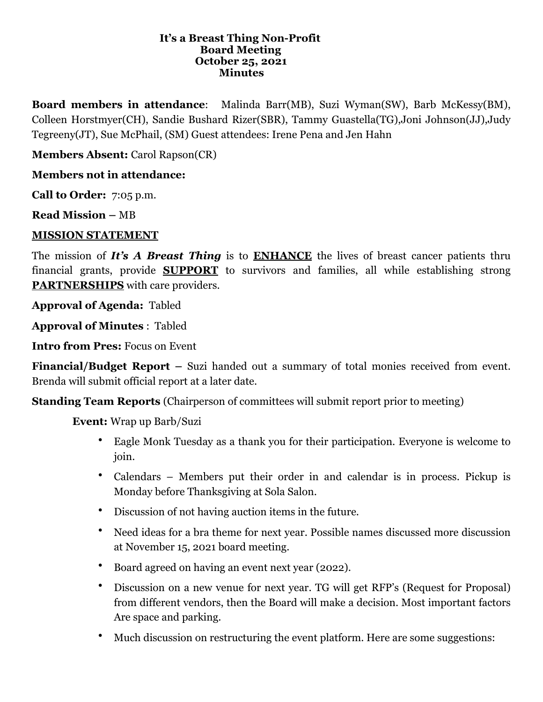#### **It's a Breast Thing Non-Profit Board Meeting October 25, 2021 Minutes**

**Board members in attendance**: Malinda Barr(MB), Suzi Wyman(SW), Barb McKessy(BM), Colleen Horstmyer(CH), Sandie Bushard Rizer(SBR), Tammy Guastella(TG),Joni Johnson(JJ),Judy Tegreeny(JT), Sue McPhail, (SM) Guest attendees: Irene Pena and Jen Hahn

**Members Absent:** Carol Rapson(CR)

## **Members not in attendance:**

**Call to Order:** 7:05 p.m.

**Read Mission –** MB

#### **MISSION STATEMENT**

The mission of *It's A Breast Thing* is to **ENHANCE** the lives of breast cancer patients thru financial grants, provide **SUPPORT** to survivors and families, all while establishing strong **PARTNERSHIPS** with care providers.

**Approval of Agenda:** Tabled

**Approval of Minutes** : Tabled

**Intro from Pres:** Focus on Event

**Financial/Budget Report –** Suzi handed out a summary of total monies received from event. Brenda will submit official report at a later date.

**Standing Team Reports** (Chairperson of committees will submit report prior to meeting)

 **Event:** Wrap up Barb/Suzi

- Eagle Monk Tuesday as a thank you for their participation. Everyone is welcome to join.
- Calendars Members put their order in and calendar is in process. Pickup is Monday before Thanksgiving at Sola Salon.
- Discussion of not having auction items in the future.
- Need ideas for a bra theme for next year. Possible names discussed more discussion at November 15, 2021 board meeting.
- Board agreed on having an event next year (2022).
- Discussion on a new venue for next year. TG will get RFP's (Request for Proposal) from different vendors, then the Board will make a decision. Most important factors Are space and parking.
- Much discussion on restructuring the event platform. Here are some suggestions: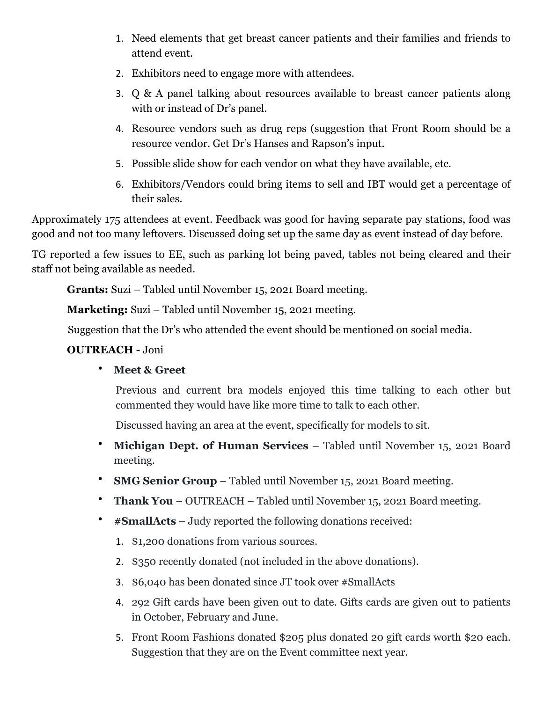- 1. Need elements that get breast cancer patients and their families and friends to attend event.
- 2. Exhibitors need to engage more with attendees.
- 3. Q & A panel talking about resources available to breast cancer patients along with or instead of Dr's panel.
- 4. Resource vendors such as drug reps (suggestion that Front Room should be a resource vendor. Get Dr's Hanses and Rapson's input.
- 5. Possible slide show for each vendor on what they have available, etc.
- 6. Exhibitors/Vendors could bring items to sell and IBT would get a percentage of their sales.

Approximately 175 attendees at event. Feedback was good for having separate pay stations, food was good and not too many leftovers. Discussed doing set up the same day as event instead of day before.

TG reported a few issues to EE, such as parking lot being paved, tables not being cleared and their staff not being available as needed.

 **Grants:** Suzi – Tabled until November 15, 2021 Board meeting.

 **Marketing:** Suzi – Tabled until November 15, 2021 meeting.

Suggestion that the Dr's who attended the event should be mentioned on social media.

### **OUTREACH -** Joni

## • **Meet & Greet**

Previous and current bra models enjoyed this time talking to each other but commented they would have like more time to talk to each other.

Discussed having an area at the event, specifically for models to sit.

- **Michigan Dept. of Human Services** Tabled until November 15, 2021 Board meeting.
- **SMG Senior Group** Tabled until November 15, 2021 Board meeting.
- **Thank You** OUTREACH Tabled until November 15, 2021 Board meeting.
- **#SmallActs** Judy reported the following donations received:
	- 1. \$1,200 donations from various sources.
	- 2. \$350 recently donated (not included in the above donations).
	- 3. \$6,040 has been donated since JT took over #SmallActs
	- 4. 292 Gift cards have been given out to date. Gifts cards are given out to patients in October, February and June.
	- 5. Front Room Fashions donated \$205 plus donated 20 gift cards worth \$20 each. Suggestion that they are on the Event committee next year.